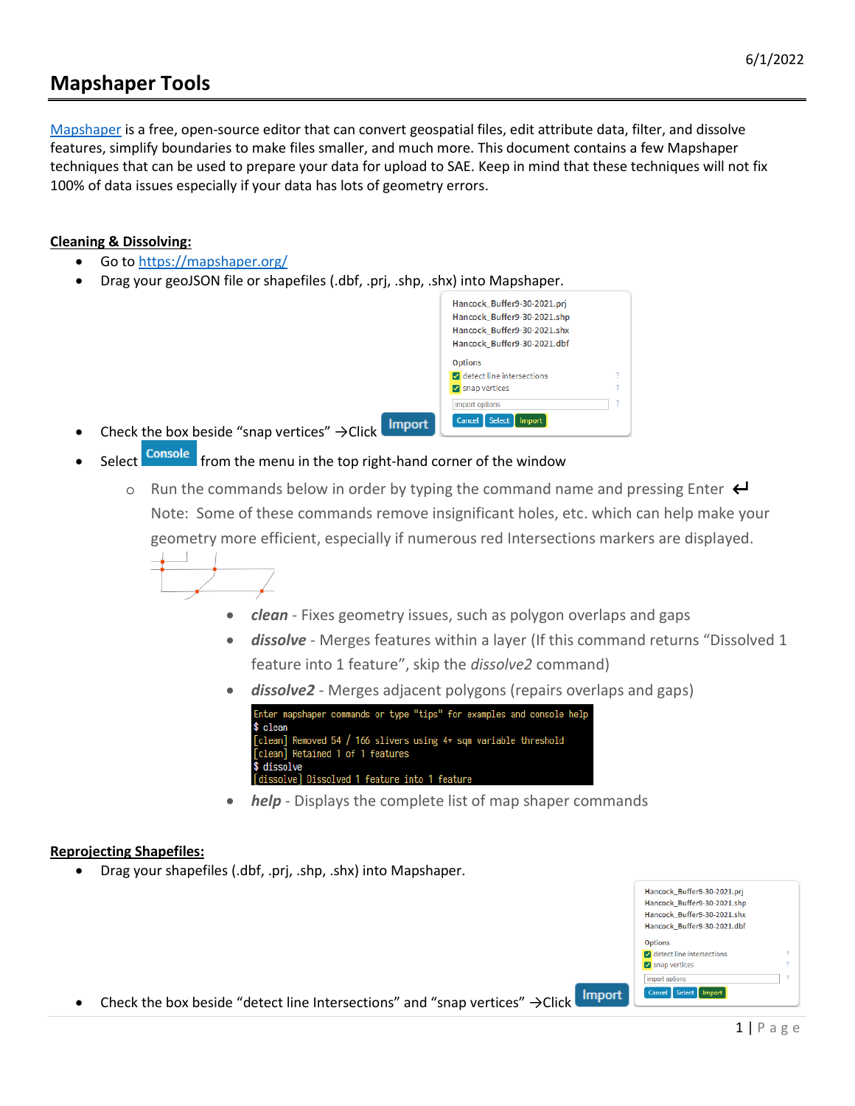## **Mapshaper Tools**

[Mapshaper](https://mapshaper.org/) is a free, open-source editor that can convert geospatial files, edit attribute data, filter, and dissolve features, simplify boundaries to make files smaller, and much more. This document contains a few Mapshaper techniques that can be used to prepare your data for upload to SAE. Keep in mind that these techniques will not fix 100% of data issues especially if your data has lots of geometry errors.

## **Cleaning & Dissolving:**

- Go to<https://mapshaper.org/>
- Drag your geoJSON file or shapefiles (.dbf, .prj, .shp, .shx) into Mapshaper.

|                | Hancock Buffer9-30-2021.pri |  |
|----------------|-----------------------------|--|
|                | Hancock Buffer9-30-2021.shp |  |
|                |                             |  |
|                | Hancock Buffer9-30-2021.shx |  |
|                | Hancock Buffer9-30-2021.dbf |  |
| <b>Options</b> |                             |  |
|                | detect line intersections   |  |
| Snap vertices  |                             |  |
| import options |                             |  |
| Cancel         | <b>Select</b><br>Import     |  |

- Import Check the box beside "snap vertices"  $\rightarrow$ Click<br>Select console from the menu in the top right
- from the menu in the top right-hand corner of the window
	- $\circ$  Run the commands below in order by typing the command name and pressing Enter  $\leftarrow$ Note: Some of these commands remove insignificant holes, etc. which can help make your geometry more efficient, especially if numerous red Intersections markers are displayed.
		- - *clean* Fixes geometry issues, such as polygon overlaps and gaps
			- *dissolve* Merges features within a layer (If this command returns "Dissolved 1 feature into 1 feature", skip the *dissolve2* command)
			- dissolve2 Merges adjacent polygons (repairs overlaps and gaps)



• *help* - Displays the complete list of map shaper commands

## **Reprojecting Shapefiles:**

• Drag your shapefiles (.dbf, .prj, .shp, .shx) into Mapshaper.

| Hancock Buffer9-30-2021.shx        |  |
|------------------------------------|--|
| Hancock Buffer9-30-2021.dbf        |  |
| <b>Options</b>                     |  |
| <b>M</b> detect line intersections |  |
| Snap vertices                      |  |
| import options                     |  |

Import • Check the box beside "detect line Intersections" and "snap vertices" →Click